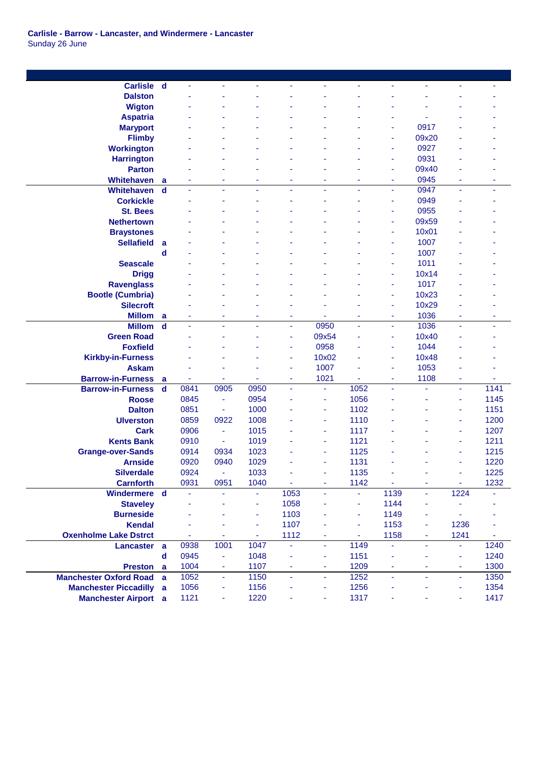| <b>Carlisle</b>               | $\mathbf d$    | ä,   | $\blacksquare$           |      | ä,   | ä,             | ÷,             | ä,   | ä,             | ä,             |      |
|-------------------------------|----------------|------|--------------------------|------|------|----------------|----------------|------|----------------|----------------|------|
| <b>Dalston</b>                |                |      |                          |      |      |                |                |      |                |                |      |
| <b>Wigton</b>                 |                |      |                          |      |      |                |                |      |                |                |      |
| <b>Aspatria</b>               |                |      |                          |      |      |                |                |      |                |                |      |
| <b>Maryport</b>               |                |      |                          |      |      |                |                | ä,   | 0917           |                |      |
| <b>Flimby</b>                 |                |      |                          |      |      |                |                | ÷    | 09x20          |                |      |
| <b>Workington</b>             |                |      |                          |      |      |                |                | ä,   | 0927           |                |      |
| <b>Harrington</b>             |                |      |                          |      |      |                |                | ٠    | 0931           |                |      |
| <b>Parton</b>                 |                |      |                          |      |      |                |                | ٠    | 09x40          |                |      |
| <b>Whitehaven</b>             | a              |      |                          |      | ÷    |                |                | ٠    | 0945           |                |      |
| Whitehaven                    | $\mathbf d$    | ä,   | $\blacksquare$           |      | ä,   | ä,             |                | ä,   | 0947           | ÷.             | ÷,   |
| <b>Corkickle</b>              |                |      |                          |      |      |                |                | ٠    | 0949           |                |      |
| <b>St. Bees</b>               |                |      |                          |      |      |                |                | ٠    | 0955           |                |      |
| <b>Nethertown</b>             |                |      |                          |      |      |                |                | ÷    | 09x59          |                |      |
| <b>Braystones</b>             |                |      |                          |      |      |                |                | ÷    | 10x01          |                |      |
| <b>Sellafield</b>             | a              |      |                          |      |      |                |                | ۰    | 1007           |                |      |
|                               | d              |      |                          |      |      |                |                | ٠    | 1007           |                |      |
| <b>Seascale</b>               |                |      |                          |      |      |                |                | ä,   | 1011           |                |      |
| <b>Drigg</b>                  |                |      |                          |      |      |                |                | ä,   | 10x14          |                |      |
| <b>Ravenglass</b>             |                |      |                          |      |      |                |                | ä,   | 1017           |                |      |
| <b>Bootle (Cumbria)</b>       |                |      |                          |      |      |                |                | ٠    | 10x23          |                |      |
| <b>Silecroft</b>              |                |      |                          |      |      |                |                | ٠    | 10x29          |                |      |
| <b>Millom</b>                 | a              |      |                          |      | ä    |                |                | ä,   | 1036           |                |      |
| <b>Millom</b>                 | $\mathbf d$    | ä    | ÷,                       |      | ÷.   | 0950           | ä,             | ä,   | 1036           | ä,             | ٠    |
| <b>Green Road</b>             |                |      |                          |      | Ξ    | 09x54          |                | ٠    | 10x40          |                |      |
| <b>Foxfield</b>               |                |      |                          |      | Ξ    | 0958           |                | ٠    | 1044           |                |      |
| <b>Kirkby-in-Furness</b>      |                |      |                          |      | ٠    | 10x02          |                | Ξ    | 10x48          |                |      |
| <b>Askam</b>                  |                |      |                          |      | ٠    | 1007           |                | ۰    | 1053           |                |      |
| <b>Barrow-in-Furness</b>      | a              |      |                          |      | ٠    | 1021           |                | ٠    | 1108           | ٠              |      |
| <b>Barrow-in-Furness</b>      | $\mathbf d$    | 0841 | 0905                     | 0950 | ä,   | $\blacksquare$ | 1052           | ä,   | ä,             | ÷,             | 1141 |
| <b>Roose</b>                  |                | 0845 | $\overline{\phantom{a}}$ | 0954 |      | ÷              | 1056           |      |                | ٠              | 1145 |
| <b>Dalton</b>                 |                | 0851 | $\blacksquare$           | 1000 |      | ٠              | 1102           |      |                | ٠              | 1151 |
| <b>Ulverston</b>              |                | 0859 | 0922                     | 1008 |      | ä,             | 1110           |      |                | ä,             | 1200 |
| <b>Cark</b>                   |                | 0906 | $\overline{\phantom{a}}$ | 1015 |      | ÷              | 1117           |      |                | ٠              | 1207 |
| <b>Kents Bank</b>             |                | 0910 | $\blacksquare$           | 1019 |      | ٠              | 1121           |      |                | $\blacksquare$ | 1211 |
| <b>Grange-over-Sands</b>      |                | 0914 | 0934                     | 1023 |      | ٠              | 1125           |      |                | ٠              | 1215 |
| <b>Arnside</b>                |                | 0920 | 0940                     | 1029 |      | ÷              | 1131           |      |                | ٠              | 1220 |
| <b>Silverdale</b>             |                | 0924 | $\blacksquare$           | 1033 |      | ٠              | 1135           |      |                | ٠              | 1225 |
| <b>Carnforth</b>              |                | 0931 | 0951                     | 1040 | ÷,   | $\blacksquare$ | 1142           | Ξ    | $\blacksquare$ | $\blacksquare$ | 1232 |
| Windermere d                  |                | ä,   | $\blacksquare$           |      | 1053 | ä,             | ä              | 1139 | ٠              | 1224           |      |
| <b>Staveley</b>               |                |      |                          | ÷    | 1058 |                | ä,             | 1144 | ۰              |                |      |
| <b>Burneside</b>              |                |      |                          | ä,   | 1103 |                | ä,             | 1149 | ٠              |                |      |
| <b>Kendal</b>                 |                |      |                          |      | 1107 |                |                | 1153 | ä,             | 1236           |      |
| <b>Oxenholme Lake Dstrct</b>  |                | ÷    |                          | Ξ    | 1112 | ä,             | $\blacksquare$ | 1158 | ٠              | 1241           |      |
| <b>Lancaster</b>              | $\overline{a}$ | 0938 | 1001                     | 1047 | ä,   | $\omega$       | 1149           | ä,   | ä,             | ÷.             | 1240 |
|                               | $\mathbf d$    | 0945 | $\blacksquare$           | 1048 | ٠    | $\blacksquare$ | 1151           | Ξ    | ٠              | Ξ              | 1240 |
| <b>Preston</b>                | a              | 1004 | $\blacksquare$           | 1107 | ÷    | ٠              | 1209           | ٠    | ٠              | $\blacksquare$ | 1300 |
| <b>Manchester Oxford Road</b> | a              | 1052 | ÷.                       | 1150 | ä,   | $\blacksquare$ | 1252           | ä,   | ä,             | $\blacksquare$ | 1350 |
| <b>Manchester Piccadilly</b>  | a              | 1056 | $\blacksquare$           | 1156 | ÷    | ٠              | 1256           | ÷    |                | ٠              | 1354 |
| <b>Manchester Airport</b> a   |                | 1121 | ٠                        | 1220 | ٠    | ٠              | 1317           | ÷,   |                | ٠              | 1417 |
|                               |                |      |                          |      |      |                |                |      |                |                |      |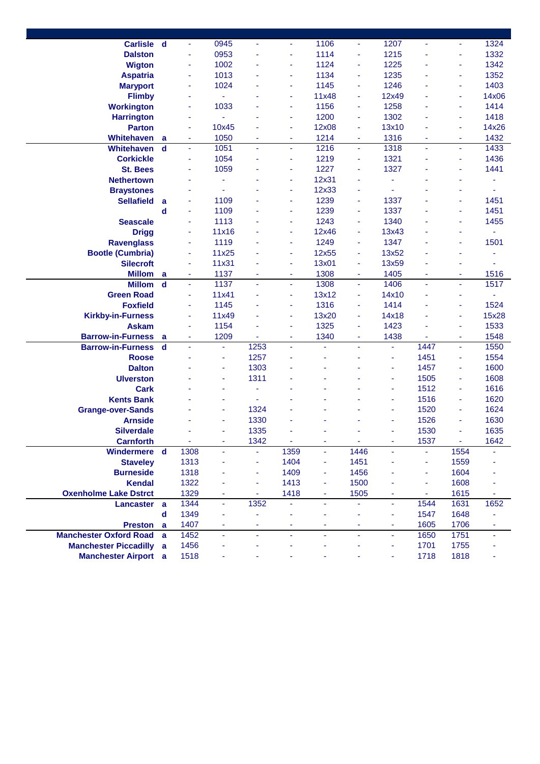| <b>Carlisle</b>               | - d         | ÷    | 0945           |                |      | 1106  | $\blacksquare$ | 1207  |      | ä,   | 1324  |
|-------------------------------|-------------|------|----------------|----------------|------|-------|----------------|-------|------|------|-------|
| <b>Dalston</b>                |             | ä,   | 0953           |                | ä,   | 1114  | ä,             | 1215  |      | ä,   | 1332  |
| <b>Wigton</b>                 |             | ä,   | 1002           |                | ä,   | 1124  | ä,             | 1225  |      | ä,   | 1342  |
| <b>Aspatria</b>               |             | ä,   | 1013           |                | Ξ    | 1134  | ä,             | 1235  |      | ä,   | 1352  |
| <b>Maryport</b>               |             | ÷    | 1024           |                | Ξ    | 1145  | ä,             | 1246  |      | ä,   | 1403  |
| <b>Flimby</b>                 |             | ۰    |                |                | Ξ    | 11x48 | ÷,             | 12x49 |      | Ξ    | 14x06 |
| <b>Workington</b>             |             | ٠    | 1033           |                | Ξ    | 1156  | ä,             | 1258  |      | ÷    | 1414  |
| <b>Harrington</b>             |             | ٠    |                |                | Ξ    | 1200  | ÷              | 1302  |      | ÷    | 1418  |
| <b>Parton</b>                 |             | ٠    | 10x45          |                | Ξ    | 12x08 | ä,             | 13x10 |      | ÷    | 14x26 |
| <b>Whitehaven</b>             | a           | ٠    | 1050           |                | ٠    | 1214  | ä,             | 1316  |      | ÷    | 1432  |
| <b>Whitehaven</b>             | $\mathbf d$ | Ξ    | 1051           |                | ٠    | 1216  | ä,             | 1318  | ä,   | ä,   | 1433  |
| <b>Corkickle</b>              |             |      | 1054           |                | ٠    | 1219  | ÷,             | 1321  |      | ٠    | 1436  |
| <b>St. Bees</b>               |             |      | 1059           |                | ٠    | 1227  | ÷,             | 1327  |      |      | 1441  |
| <b>Nethertown</b>             |             |      | Ξ              |                | ٠    | 12x31 |                | ä,    |      |      |       |
| <b>Braystones</b>             |             |      | ä,             |                | ٠    | 12x33 |                |       |      |      |       |
| <b>Sellafield</b>             | a           | ä,   | 1109           |                | ä,   | 1239  | ä,             | 1337  |      | ä,   | 1451  |
|                               | d           | ä,   | 1109           |                | Ξ    | 1239  | ä,             | 1337  |      | ä,   | 1451  |
| <b>Seascale</b>               |             | ä,   | 1113           |                | Ξ    | 1243  | ä,             | 1340  |      | ÷    | 1455  |
| <b>Drigg</b>                  |             | ä,   | 11x16          |                | ٠    | 12x46 | ä,             | 13x43 |      | ÷    | ä,    |
| <b>Ravenglass</b>             |             | ٠    | 1119           |                | ÷    | 1249  | ä,             | 1347  |      | ÷    | 1501  |
| <b>Bootle (Cumbria)</b>       |             | ÷    | 11x25          |                | ÷    | 12x55 | ä,             | 13x52 |      |      |       |
| <b>Silecroft</b>              |             | ٠    | 11x31          |                | ÷    | 13x01 |                | 13x59 |      |      |       |
| <b>Millom</b>                 | a           | ٠    | 1137           |                | ٠    | 1308  | ä,             | 1405  | ٠    | ÷    | 1516  |
| <b>Millom</b>                 | $\mathbf d$ | ÷    | 1137           | $\sim$         | ÷    | 1308  | $\blacksquare$ | 1406  | ٠    | ÷    | 1517  |
| <b>Green Road</b>             |             |      | 11x41          |                | ٠    | 13x12 | ÷,             | 14x10 |      | ۳    | ٠     |
| <b>Foxfield</b>               |             | ä,   | 1145           |                | ٠    | 1316  |                | 1414  |      | ä,   | 1524  |
| <b>Kirkby-in-Furness</b>      |             | ä,   | 11x49          |                | ÷    | 13x20 | ä,             | 14x18 |      | ä,   | 15x28 |
| <b>Askam</b>                  |             | ä,   | 1154           |                | ä,   | 1325  | ä,             | 1423  |      | ä,   | 1533  |
| <b>Barrow-in-Furness</b>      | a           | ä,   | 1209           |                | ٠    | 1340  | ÷,             | 1438  |      | ÷    | 1548  |
| <b>Barrow-in-Furness</b>      | $\mathbf d$ | ä,   | $\blacksquare$ | 1253           | ÷.   | ä,    | ä,             | ä,    | 1447 | ä,   | 1550  |
| <b>Roose</b>                  |             |      | ٠              | 1257           |      | ٠     |                | ÷     | 1451 | ä,   | 1554  |
| <b>Dalton</b>                 |             |      | ٠              | 1303           |      |       |                | ٠     | 1457 | ä,   | 1600  |
| <b>Ulverston</b>              |             |      | ÷              | 1311           |      |       |                | ٠     | 1505 | ÷    | 1608  |
| <b>Cark</b>                   |             |      |                |                |      |       |                | ÷     | 1512 | ÷    | 1616  |
| <b>Kents Bank</b>             |             |      |                |                |      |       |                | ÷     | 1516 | ä,   | 1620  |
| <b>Grange-over-Sands</b>      |             |      |                | 1324           |      |       |                | ÷     | 1520 | ÷    | 1624  |
| <b>Arnside</b>                |             |      |                | 1330           |      |       |                |       | 1526 |      | 1630  |
| <b>Silverdale</b>             |             |      |                | 1335           |      |       |                |       | 1530 |      | 1635  |
| <b>Carnforth</b>              |             |      |                | 1342           |      |       |                |       | 1537 |      | 1642  |
| Windermere d                  |             | 1308 |                |                | 1359 | ۰     | 1446           |       |      | 1554 |       |
| <b>Staveley</b>               |             | 1313 |                |                | 1404 | ٠     | 1451           |       | ÷    | 1559 |       |
| <b>Burneside</b>              |             | 1318 |                | ÷              | 1409 | ۰     | 1456           |       | ÷    | 1604 |       |
| <b>Kendal</b>                 |             | 1322 |                | $\blacksquare$ | 1413 | ۰     | 1500           |       | ÷    | 1608 |       |
| <b>Oxenholme Lake Dstrct</b>  |             | 1329 | ٠              | ٠              | 1418 | ٠     | 1505           |       | ٠    | 1615 |       |
| <b>Lancaster</b>              | a           | 1344 | ÷,             | 1352           |      | ٠     |                | ä,    | 1544 | 1631 | 1652  |
|                               | $\mathbf d$ | 1349 |                |                |      |       |                | ٠     | 1547 | 1648 |       |
| <b>Preston</b>                | a           | 1407 |                |                |      | ۰     |                | ٠     | 1605 | 1706 |       |
| <b>Manchester Oxford Road</b> | a           | 1452 | Ξ              | ÷.             | ä,   | ÷.    | ÷.             | ä,    | 1650 | 1751 |       |
| <b>Manchester Piccadilly</b>  | a           | 1456 |                |                |      |       |                |       | 1701 | 1755 |       |
| <b>Manchester Airport</b> a   |             | 1518 |                |                |      |       |                |       | 1718 | 1818 |       |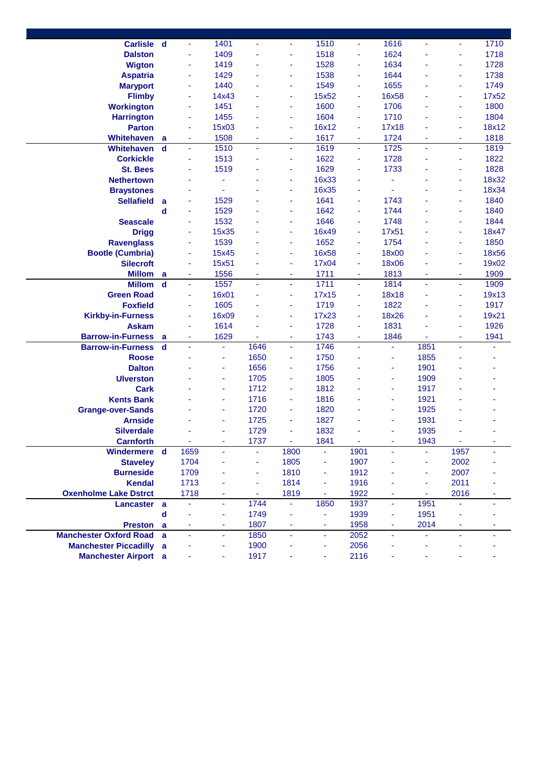| Carlisle d                    |             | $\blacksquare$ | 1401                     |      | ÷              | 1510           | $\overline{\phantom{a}}$ | 1616  | ä,             | ÷              | 1710  |
|-------------------------------|-------------|----------------|--------------------------|------|----------------|----------------|--------------------------|-------|----------------|----------------|-------|
| <b>Dalston</b>                |             | ä,             | 1409                     |      | ä,             | 1518           | ä,                       | 1624  |                | ä,             | 1718  |
| <b>Wigton</b>                 |             | ÷              | 1419                     |      | ä,             | 1528           | ä,                       | 1634  |                | ÷              | 1728  |
| <b>Aspatria</b>               |             | ÷              | 1429                     |      | ä,             | 1538           | ä,                       | 1644  |                | ٠              | 1738  |
| <b>Maryport</b>               |             | ä,             | 1440                     |      | ä,             | 1549           | ä,                       | 1655  |                | ÷              | 1749  |
| <b>Flimby</b>                 |             | ä,             | 14x43                    |      | ä,             | 15x52          | ä,                       | 16x58 |                | ÷              | 17x52 |
| <b>Workington</b>             |             | ä,             | 1451                     |      | ä,             | 1600           | ä,                       | 1706  |                | $\blacksquare$ | 1800  |
| <b>Harrington</b>             |             | ÷              | 1455                     |      | ä,             | 1604           | ÷                        | 1710  |                | ٠              | 1804  |
| <b>Parton</b>                 |             | ÷              | 15x03                    |      | ٠              | 16x12          | ÷                        | 17x18 |                | ÷              | 18x12 |
| Whitehaven                    | a           | ۰              | 1508                     |      | ۰              | 1617           | ٠                        | 1724  |                | ٠              | 1818  |
| Whitehaven                    | d           | ٠              | 1510                     |      | ٠              | 1619           | $\overline{\phantom{a}}$ | 1725  | $\blacksquare$ | $\blacksquare$ | 1819  |
| <b>Corkickle</b>              |             | ÷              | 1513                     |      | ٠              | 1622           | ÷                        | 1728  |                | ٠              | 1822  |
| <b>St. Bees</b>               |             |                | 1519                     |      | ۰              | 1629           | ä,                       | 1733  |                |                | 1828  |
| <b>Nethertown</b>             |             |                | $\blacksquare$           |      | ä              | 16x33          |                          | ÷     |                | ٠              | 18x32 |
| <b>Braystones</b>             |             |                | ÷                        |      | ä,             | 16x35          |                          | ÷     |                | ٠              | 18x34 |
| <b>Sellafield</b>             | a           | ÷              | 1529                     |      | ٠              | 1641           | ä,                       | 1743  |                | ٠              | 1840  |
|                               | d           | ä,             | 1529                     |      | ٠              | 1642           | ä,                       | 1744  |                | ٠              | 1840  |
| <b>Seascale</b>               |             | ä,             | 1532                     |      | ٠              | 1646           | ä,                       | 1748  |                |                | 1844  |
| <b>Drigg</b>                  |             | ÷              | 15x35                    |      | ä,             | 16x49          | ä,                       | 17x51 |                | ٠              | 18x47 |
| <b>Ravenglass</b>             |             | ä,             | 1539                     |      | ä,             | 1652           | ä,                       | 1754  |                | $\blacksquare$ | 1850  |
| <b>Bootle (Cumbria)</b>       |             | ÷              | 15x45                    |      | ä,             | 16x58          | ä,                       | 18x00 |                | ÷              | 18x56 |
| <b>Silecroft</b>              |             | ÷              | 15x51                    |      | ٠              | 17x04          | ÷                        | 18x06 |                | ۰              | 19x02 |
| <b>Millom</b>                 | a           | ÷              | 1556                     |      | ä,             | 1711           | ä,                       | 1813  | ٠              | $\blacksquare$ | 1909  |
| <b>Millom</b>                 | $\mathbf d$ | Ξ              | 1557                     |      | ä,             | 1711           | $\blacksquare$           | 1814  | $\blacksquare$ | ä,             | 1909  |
| <b>Green Road</b>             |             | ÷              | 16x01                    |      | ٠              | 17x15          | ÷                        | 18x18 |                | ٠              | 19x13 |
| <b>Foxfield</b>               |             | ÷              | 1605                     |      | ä              | 1719           | $\blacksquare$           | 1822  |                | $\blacksquare$ | 1917  |
| <b>Kirkby-in-Furness</b>      |             | ÷              | 16x09                    |      | ٠              | 17x23          | ä,                       | 18x26 |                | ٠              | 19x21 |
| <b>Askam</b>                  |             | ä,             | 1614                     |      | ä,             | 1728           | ä,                       | 1831  |                | ٠              | 1926  |
| <b>Barrow-in-Furness</b>      | a           | ÷              | 1629                     |      | ٠              | 1743           | ÷                        | 1846  |                | ÷              | 1941  |
| <b>Barrow-in-Furness</b>      | $\mathbf d$ | ä,             | Ξ                        | 1646 | $\blacksquare$ | 1746           | ä,                       | ä,    | 1851           | ÷.             |       |
| <b>Roose</b>                  |             |                | ÷                        | 1650 | ä,             | 1750           |                          | ۰     | 1855           |                |       |
| <b>Dalton</b>                 |             |                | ٠                        | 1656 | ä,             | 1756           |                          | ä,    | 1901           |                |       |
| <b>Ulverston</b>              |             |                | $\overline{\phantom{a}}$ | 1705 | ÷              | 1805           |                          | ä,    | 1909           |                |       |
| <b>Cark</b>                   |             |                | ÷                        | 1712 | ä,             | 1812           |                          | ä,    | 1917           |                |       |
| <b>Kents Bank</b>             |             |                | ٠                        | 1716 | ä,             | 1816           |                          | ä,    | 1921           |                |       |
| <b>Grange-over-Sands</b>      |             |                | ÷                        | 1720 | ٠              | 1820           |                          | ÷     | 1925           |                |       |
| <b>Arnside</b>                |             |                |                          | 1725 |                | 1827           |                          |       | 1931           |                |       |
| <b>Silverdale</b>             |             |                |                          | 1729 |                | 1832           |                          |       | 1935           |                |       |
| <b>Carnforth</b>              |             |                |                          | 1737 |                | 1841           |                          |       | 1943           |                |       |
| Windermere d                  |             | 1659           |                          |      | 1800           | ÷.             | 1901                     |       |                | 1957           |       |
| <b>Staveley</b>               |             | 1704           |                          |      | 1805           | ÷,             | 1907                     |       | ä,             | 2002           |       |
| <b>Burneside</b>              |             | 1709           |                          | Ξ    | 1810           | ÷              | 1912                     |       | ä,             | 2007           |       |
| <b>Kendal</b>                 |             | 1713           |                          | Ξ    | 1814           | ä,             | 1916                     |       | ä,             | 2011           |       |
| <b>Oxenholme Lake Dstrct</b>  |             | 1718           |                          | ٠    | 1819           | $\blacksquare$ | 1922                     |       | $\blacksquare$ | 2016           |       |
| <b>Lancaster</b>              | a           |                | $\blacksquare$           | 1744 |                | 1850           | 1937                     | ä,    | 1951           |                |       |
|                               | $\mathbf d$ |                | ÷                        | 1749 | ä,             |                | 1939                     | ۰     | 1951           |                |       |
| <b>Preston</b>                | a           |                | ٠                        | 1807 | ٠              | ٠              | 1958                     | ۰     | 2014           |                |       |
| <b>Manchester Oxford Road</b> | a           |                | $\overline{\phantom{a}}$ | 1850 | ä,             | Ξ              | 2052                     | ä,    |                |                |       |
| <b>Manchester Piccadilly</b>  | a           |                |                          | 1900 |                | ä,             | 2056                     |       |                |                |       |
| <b>Manchester Airport</b> a   |             |                |                          | 1917 |                |                | 2116                     |       |                |                |       |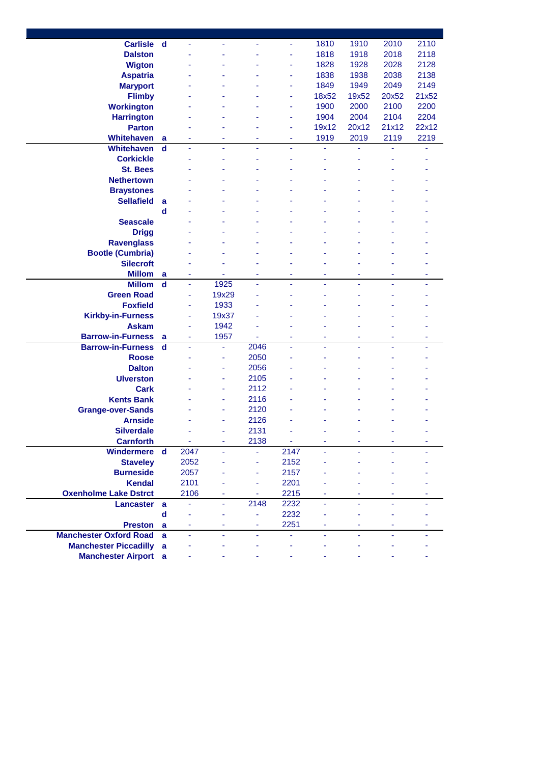| Carlisle d                    |                  |      |       |      | ٠    | 1810  | 1910  | 2010  | 2110  |
|-------------------------------|------------------|------|-------|------|------|-------|-------|-------|-------|
| <b>Dalston</b>                |                  |      |       |      | ÷    | 1818  | 1918  | 2018  | 2118  |
| <b>Wigton</b>                 |                  |      |       |      | ä,   | 1828  | 1928  | 2028  | 2128  |
| <b>Aspatria</b>               |                  |      |       |      | ä,   | 1838  | 1938  | 2038  | 2138  |
| <b>Maryport</b>               |                  |      |       |      | ٠    | 1849  | 1949  | 2049  | 2149  |
| <b>Flimby</b>                 |                  |      |       |      | ٠    | 18x52 | 19x52 | 20x52 | 21x52 |
| <b>Workington</b>             |                  |      |       |      | ä,   | 1900  | 2000  | 2100  | 2200  |
|                               |                  |      |       |      |      |       |       |       | 2204  |
| <b>Harrington</b>             |                  |      |       |      | ۰    | 1904  | 2004  | 2104  |       |
| <b>Parton</b>                 |                  |      |       |      | ۰    | 19x12 | 20x12 | 21x12 | 22x12 |
| Whitehaven                    | a                |      |       |      | ۰    | 1919  | 2019  | 2119  | 2219  |
| <b>Whitehaven</b>             | $\mathbf d$      |      |       |      |      |       |       |       |       |
| <b>Corkickle</b>              |                  |      |       |      |      |       |       |       |       |
| <b>St. Bees</b>               |                  |      |       |      |      |       |       |       |       |
| <b>Nethertown</b>             |                  |      |       |      |      |       |       |       |       |
| <b>Braystones</b>             |                  |      |       |      |      |       |       |       |       |
| <b>Sellafield</b>             | a                |      |       |      |      |       |       |       |       |
|                               | $\mathbf d$      |      |       |      |      |       |       |       |       |
| <b>Seascale</b>               |                  |      |       |      |      |       |       |       |       |
| <b>Drigg</b>                  |                  |      |       |      |      |       |       |       |       |
| <b>Ravenglass</b>             |                  |      |       |      |      |       |       |       |       |
| <b>Bootle (Cumbria)</b>       |                  |      |       |      |      |       |       |       |       |
| <b>Silecroft</b>              |                  |      |       |      |      |       |       |       |       |
| <b>Millom</b>                 | a                |      |       |      |      |       |       | ۰     | ٠     |
| <b>Millom</b>                 | $\mathbf d$      | ä,   | 1925  |      |      |       |       |       | ٠     |
| <b>Green Road</b>             |                  | ä,   | 19x29 |      |      |       |       |       |       |
| <b>Foxfield</b>               |                  | ÷    | 1933  |      |      |       |       |       |       |
| <b>Kirkby-in-Furness</b>      |                  | ÷    | 19x37 |      |      |       |       |       |       |
| <b>Askam</b>                  |                  | ä,   | 1942  |      |      |       |       |       |       |
| <b>Barrow-in-Furness</b>      |                  | ä,   | 1957  |      | ۰    | ۰     | ۰     | ۰     | ٠     |
| <b>Barrow-in-Furness</b>      | a<br>$\mathbf d$ | ä,   | ä,    | 2046 | ä    | ä,    | ÷     | ä,    | ۰     |
|                               |                  |      |       | 2050 |      |       |       |       |       |
| <b>Roose</b>                  |                  |      | ۰     |      |      |       |       |       |       |
| <b>Dalton</b>                 |                  |      | ٠     | 2056 |      |       |       |       |       |
| <b>Ulverston</b>              |                  |      | ۰     | 2105 |      |       |       |       |       |
| <b>Cark</b>                   |                  |      | ä,    | 2112 |      |       |       |       |       |
| <b>Kents Bank</b>             |                  |      | ä,    | 2116 |      |       |       |       |       |
| <b>Grange-over-Sands</b>      |                  |      | ä     | 2120 |      |       |       |       |       |
| <b>Arnside</b>                |                  |      |       | 2126 |      |       |       |       |       |
| <b>Silverdale</b>             |                  |      |       | 2131 |      |       |       |       |       |
| <b>Carnforth</b>              |                  |      |       | 2138 |      |       |       |       |       |
| Windermere d                  |                  | 2047 |       |      | 2147 |       |       |       |       |
| <b>Staveley</b>               |                  | 2052 |       | ä,   | 2152 |       |       |       |       |
| <b>Burneside</b>              |                  | 2057 |       | ÷,   | 2157 |       |       |       |       |
| <b>Kendal</b>                 |                  | 2101 |       | ÷,   | 2201 |       |       |       |       |
| <b>Oxenholme Lake Dstrct</b>  |                  | 2106 |       | ÷    | 2215 |       |       |       |       |
| <b>Lancaster</b>              | $\mathbf a$      |      | ä,    | 2148 | 2232 |       |       |       |       |
|                               | d                |      |       | ÷    | 2232 |       |       |       |       |
| <b>Preston</b>                | a                |      |       | ÷    | 2251 |       |       |       |       |
| <b>Manchester Oxford Road</b> | a                |      |       |      | ä,   |       |       |       |       |
| <b>Manchester Piccadilly</b>  | a                |      |       |      |      |       |       |       |       |
| <b>Manchester Airport</b> a   |                  |      |       |      |      |       |       |       |       |
|                               |                  |      |       |      |      |       |       |       |       |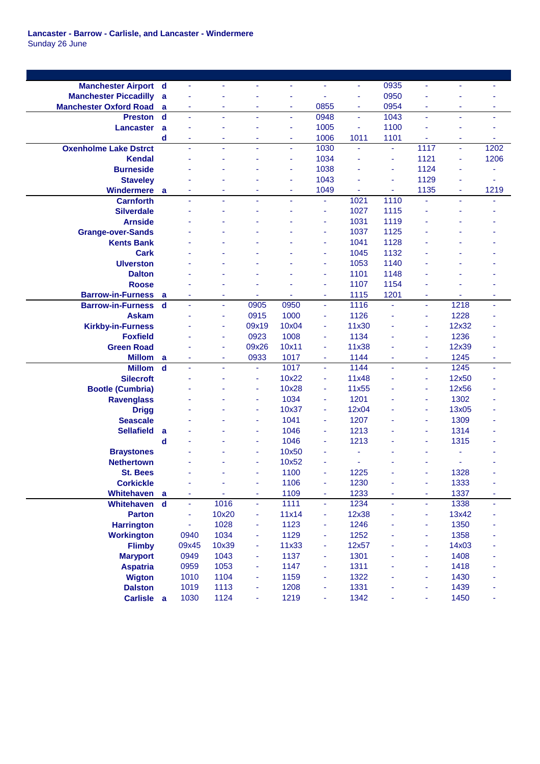**Lancaster - Barrow - Carlisle, and Lancaster - Windermere** Sunday 26 June

| <b>Manchester Airport d</b>   |             | ä,    | ä,                       |       | ٠     | ÷              | $\blacksquare$ | 0935           | $\blacksquare$ | ÷                   | ÷    |
|-------------------------------|-------------|-------|--------------------------|-------|-------|----------------|----------------|----------------|----------------|---------------------|------|
| <b>Manchester Piccadilly</b>  | a           | ÷     |                          |       | ٠     |                | $\blacksquare$ | 0950           |                |                     |      |
| <b>Manchester Oxford Road</b> | a           | ÷     | ٠                        |       | ٠     | 0855           | ٠              | 0954           | ۰              | ٠                   | ٠    |
| <b>Preston</b>                | $\mathbf d$ | ÷.    | ä,                       |       | Ξ     | 0948           | ä,             | 1043           | $\blacksquare$ | $\bar{\phantom{a}}$ | ä,   |
| <b>Lancaster</b>              | a           |       |                          |       | ٠     | 1005           | ä,             | 1100           |                |                     |      |
|                               | d           | ÷     | ٠                        |       | ٠     | 1006           | 1011           | 1101           |                | $\blacksquare$      | ٠    |
| <b>Oxenholme Lake Dstrct</b>  |             | ä,    | ÷,                       |       | ä,    | 1030           | ä,             | ä,             | 1117           | ÷,                  | 1202 |
| Kendal                        |             |       |                          |       | ä,    | 1034           |                | ä,             | 1121           | ä,                  | 1206 |
| <b>Burneside</b>              |             |       |                          |       | ٠     | 1038           |                | ä,             | 1124           | ٠                   |      |
| <b>Staveley</b>               |             |       |                          |       | ٠     | 1043           |                | ä,             | 1129           | ٠                   | ٠    |
| <b>Windermere</b>             | <b>a</b>    | ä,    |                          |       | ÷     | 1049           |                | ä,             | 1135           | ÷                   | 1219 |
| <b>Carnforth</b>              |             | ä,    | $\blacksquare$           | ٠     | ä,    | ٠              | 1021           | 1110           |                | ÷,                  |      |
| <b>Silverdale</b>             |             | ٠     | $\blacksquare$           |       | ۰     | ۰              | 1027           | 1115           | ٠              |                     |      |
| <b>Arnside</b>                |             |       |                          |       |       |                |                |                |                |                     |      |
|                               |             |       |                          |       |       | ۰              | 1031           | 1119           |                |                     |      |
| <b>Grange-over-Sands</b>      |             |       |                          |       |       | ۰              | 1037           | 1125           |                |                     |      |
| <b>Kents Bank</b>             |             |       |                          |       |       | ٠              | 1041           | 1128           |                |                     |      |
| <b>Cark</b>                   |             |       |                          |       |       |                | 1045           | 1132           |                |                     |      |
| <b>Ulverston</b>              |             |       |                          |       |       |                | 1053           | 1140           |                |                     |      |
| <b>Dalton</b>                 |             |       |                          |       |       | ÷              | 1101           | 1148           |                |                     |      |
| <b>Roose</b>                  |             |       |                          |       |       | ٠              | 1107           | 1154           |                |                     |      |
| <b>Barrow-in-Furness</b>      | a           |       | ٠                        |       |       | ۰              | 1115           | 1201           | ٠              |                     | ٠    |
| <b>Barrow-in-Furness</b>      | $\mathbf d$ | ä,    | $\blacksquare$           | 0905  | 0950  | ÷.             | 1116           | ä,             | $\blacksquare$ | 1218                | ÷.   |
| <b>Askam</b>                  |             |       | $\sim$                   | 0915  | 1000  | ٠              | 1126           | ä,             | ä,             | 1228                |      |
| <b>Kirkby-in-Furness</b>      |             |       | ÷                        | 09x19 | 10x04 | ÷              | 11x30          |                | ä,             | 12x32               |      |
| <b>Foxfield</b>               |             |       | ÷                        | 0923  | 1008  | ٠              | 1134           |                | ÷              | 1236                |      |
| <b>Green Road</b>             |             |       | $\overline{\phantom{a}}$ | 09x26 | 10x11 | ä,             | 11x38          |                | ÷              | 12x39               |      |
| <b>Millom</b>                 | a           | ٠     | ٠                        | 0933  | 1017  | ٠              | 1144           | ۰              | ٠              | 1245                | ٠    |
| <b>Millom</b>                 | $\mathbf d$ | ä,    | $\overline{\phantom{a}}$ | ÷     | 1017  | ٠              | 1144           | ä,             | $\blacksquare$ | 1245                | ٠    |
| <b>Silecroft</b>              |             |       |                          |       | 10x22 | ÷              | 11x48          |                | ×,             | 12x50               |      |
| <b>Bootle (Cumbria)</b>       |             |       |                          |       | 10x28 | ÷              | 11x55          |                | ÷              | 12x56               |      |
| <b>Ravenglass</b>             |             |       |                          | ÷     | 1034  | ۰              | 1201           |                | ×,             | 1302                |      |
| <b>Drigg</b>                  |             |       |                          |       | 10x37 | Ξ              | 12x04          |                | $\blacksquare$ | 13x05               |      |
| <b>Seascale</b>               |             |       |                          |       | 1041  | ٠              | 1207           |                | ÷,             | 1309                |      |
| <b>Sellafield</b>             | a           |       |                          | ÷     | 1046  | ۰              | 1213           |                | ä,             | 1314                |      |
|                               | d           |       |                          |       | 1046  | ÷              | 1213           |                | ÷              | 1315                |      |
| <b>Braystones</b>             |             |       |                          |       | 10x50 |                |                |                | ٠              | ä,                  |      |
| <b>Nethertown</b>             |             |       |                          | ÷     | 10x52 |                |                |                | ٠              | $\blacksquare$      |      |
| <b>St. Bees</b>               |             |       |                          | ٠     | 1100  | ÷              | 1225           |                | ÷              | 1328                |      |
| <b>Corkickle</b>              |             | ä,    |                          | Ξ     | 1106  | ٠              | 1230           | ÷              | Ξ              | 1333                |      |
| <b>Whitehaven</b>             | a           | ٠     |                          | ۰     | 1109  | ٠              | 1233           | ۰              | ٠              | 1337                | ٠    |
| Whitehaven                    | $\mathbf d$ | ÷     | 1016                     | ÷     | 1111  | $\blacksquare$ | 1234           | $\blacksquare$ | Ξ              | 1338                | ٠    |
| <b>Parton</b>                 |             | ÷     | 10x20                    | Ξ     | 11x14 | Ξ              | 12x38          | ä,             | ÷              | 13x42               |      |
| <b>Harrington</b>             |             | ÷     | 1028                     | ä,    | 1123  | ÷,             | 1246           |                | ä,             | 1350                |      |
| <b>Workington</b>             |             | 0940  | 1034                     | ÷     | 1129  | ٠              | 1252           |                | $\blacksquare$ | 1358                |      |
| <b>Flimby</b>                 |             | 09x45 | 10x39                    | ä,    | 11x33 | $\blacksquare$ | 12x57          | ä,             | ä,             | 14x03               |      |
|                               |             | 0949  | 1043                     | ä,    | 1137  | ÷              | 1301           | ä,             | $\blacksquare$ | 1408                |      |
| <b>Maryport</b>               |             |       | 1053                     |       |       |                |                |                |                |                     |      |
| <b>Aspatria</b>               |             | 0959  |                          | ä,    | 1147  | ÷              | 1311           | ä,             | ä,             | 1418                |      |
| <b>Wigton</b>                 |             | 1010  | 1104                     | ä,    | 1159  | Ξ              | 1322           |                | ä,             | 1430                |      |
| <b>Dalston</b>                |             | 1019  | 1113                     | Ξ     | 1208  | Ξ              | 1331           |                | ä,             | 1439                |      |
| Carlisle a                    |             | 1030  | 1124                     | ٠     | 1219  | ٠              | 1342           |                | ٠              | 1450                |      |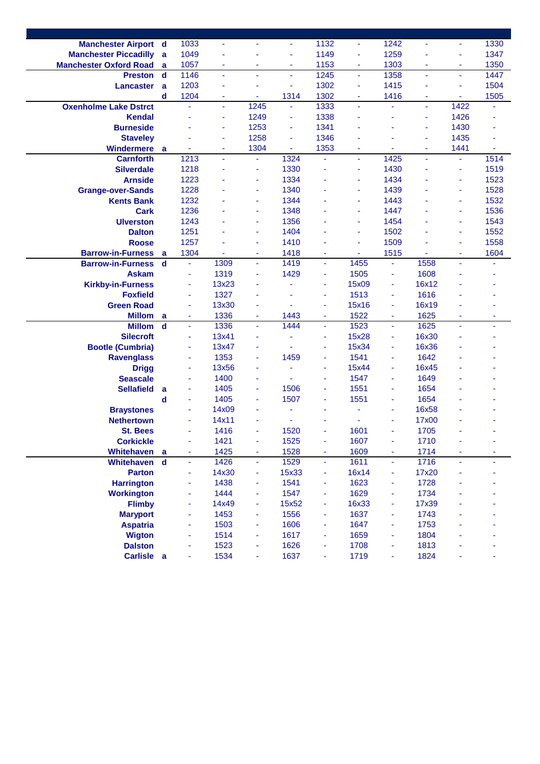| <b>Manchester Airport d</b>   |             | 1033                     | ä,    |                          | ٠              | 1132                     | $\blacksquare$         | 1242                     | $\blacksquare$ | ٠       | 1330 |
|-------------------------------|-------------|--------------------------|-------|--------------------------|----------------|--------------------------|------------------------|--------------------------|----------------|---------|------|
| <b>Manchester Piccadilly</b>  | a           | 1049                     | ÷     |                          | ÷,             | 1149                     | $\sim$                 | 1259                     |                | ۰       | 1347 |
| <b>Manchester Oxford Road</b> | a           | 1057                     | ÷     | ٠                        | ٠              | 1153                     | $\sim$                 | 1303                     | ÷              | ÷       | 1350 |
| <b>Preston</b>                | $\mathbf d$ | 1146                     | ä,    | ÷                        | ٠              | 1245                     | $\blacksquare$         | 1358                     | ä,             | ٠       | 1447 |
| Lancaster                     | a           | 1203                     | ä,    |                          | Ξ              | 1302                     | ä,                     | 1415                     | ä,             | ٠       | 1504 |
|                               | d           | 1204                     | ÷     | Ξ                        | 1314           | 1302                     | ä,                     | 1416                     | ä,             | ٠       | 1505 |
| <b>Oxenholme Lake Dstrct</b>  |             | ä,                       | ä,    | 1245                     | $\blacksquare$ | 1333                     | ä,                     | ä,                       | $\blacksquare$ | 1422    |      |
| <b>Kendal</b>                 |             |                          | ٠     | 1249                     | ٠              | 1338                     | ٠                      | ä,                       | ×,             | 1426    |      |
| <b>Burneside</b>              |             |                          | ٠     | 1253                     | $\blacksquare$ | 1341                     |                        | ä,                       | ä,             | 1430    |      |
| <b>Staveley</b>               |             |                          | ÷     | 1258                     | ä,             | 1346                     |                        |                          | ÷              | 1435    |      |
| <b>Windermere</b>             | <b>a</b>    |                          | ÷     | 1304                     | ٠              | 1353                     | ٠                      |                          | ÷              | 1441    |      |
| <b>Carnforth</b>              |             | 1213                     | ä,    | ÷                        | 1324           |                          | ä,                     | 1425                     | ä,             | Ξ       | 1514 |
| <b>Silverdale</b>             |             | 1218                     |       |                          | 1330           |                          | ٠                      | 1430                     |                |         | 1519 |
| <b>Arnside</b>                |             | 1223                     |       | ٠                        | 1334           |                          | ÷                      | 1434                     |                | ٠       | 1523 |
| <b>Grange-over-Sands</b>      |             | 1228                     |       | ٠                        | 1340           |                          | ÷                      | 1439                     |                | ٠       | 1528 |
| <b>Kents Bank</b>             |             | 1232                     |       | ٠                        | 1344           |                          |                        | 1443                     |                | ٠       | 1532 |
| <b>Cark</b>                   |             | 1236                     |       | ÷                        | 1348           |                          | ٠                      | 1447                     |                | ٠       | 1536 |
| <b>Ulverston</b>              |             | 1243                     |       | ٠                        | 1356           |                          | ٠                      | 1454                     |                | ٠       | 1543 |
| <b>Dalton</b>                 |             | 1251                     |       | ÷                        | 1404           |                          | ÷                      | 1502                     |                | ٠       | 1552 |
| <b>Roose</b>                  |             | 1257                     |       | ÷                        | 1410           |                          | ÷                      | 1509                     |                | ÷       | 1558 |
|                               |             |                          |       |                          |                |                          |                        |                          |                |         | 1604 |
| <b>Barrow-in-Furness</b>      | a           | 1304<br>$\omega$         | ÷     | $\overline{\phantom{a}}$ | 1418<br>1419   | $\blacksquare$           | $\blacksquare$<br>1455 | 1515                     | ٠<br>1558      | ٠<br>÷. |      |
| <b>Barrow-in-Furness</b>      | $\mathbf d$ |                          | 1309  | ä,                       |                | $\blacksquare$           |                        | ä,                       |                |         |      |
| <b>Askam</b>                  |             | ä,                       | 1319  | ÷                        | 1429           | ä,                       | 1505                   | ٠                        | 1608           |         |      |
| <b>Kirkby-in-Furness</b>      |             | ä,                       | 13x23 |                          |                | ÷                        | 15x09                  | ÷                        | 16x12          |         |      |
| <b>Foxfield</b>               |             | ä,                       | 1327  |                          |                | ٠                        | 1513                   | ÷                        | 1616           |         |      |
| <b>Green Road</b>             |             |                          | 13x30 |                          |                | ä,                       | 15x16                  | ٠                        | 16x19          |         |      |
| <b>Millom</b>                 | a           | ٠                        | 1336  | ÷                        | 1443           | $\blacksquare$           | 1522                   | $\overline{\phantom{a}}$ | 1625           | ٠       | ٠    |
| <b>Millom</b>                 | $\mathbf d$ | $\omega$                 | 1336  | $\blacksquare$           | 1444           | $\blacksquare$           | 1523                   | $\omega$                 | 1625           | ÷.      | ä,   |
| <b>Silecroft</b>              |             | ÷,                       | 13x41 | ٠                        |                | ٠                        | 15x28                  | ÷                        | 16x30          |         |      |
| <b>Bootle (Cumbria)</b>       |             | $\omega$                 | 13x47 | ۰                        |                | ٠                        | 15x34                  | ÷,                       | 16x36          |         |      |
| <b>Ravenglass</b>             |             | ä,                       | 1353  | ÷                        | 1459           | $\overline{\phantom{a}}$ | 1541                   | ÷                        | 1642           |         |      |
| <b>Drigg</b>                  |             | ä,                       | 13x56 |                          | ä,             | ٠                        | 15x44                  | ÷                        | 16x45          |         |      |
| <b>Seascale</b>               |             | ÷,                       | 1400  | ÷                        | ä,             | ÷                        | 1547                   | ä,                       | 1649           |         |      |
| <b>Sellafield</b>             | a           | ÷                        | 1405  | ٠                        | 1506           | $\blacksquare$           | 1551                   | ä,                       | 1654           |         |      |
|                               | d           | ä,                       | 1405  | ÷                        | 1507           | ٠                        | 1551                   | ۰                        | 1654           |         |      |
| <b>Braystones</b>             |             | ÷                        | 14x09 |                          |                |                          |                        | ٠                        | 16x58          |         |      |
| <b>Nethertown</b>             |             |                          | 14x11 |                          |                |                          |                        |                          | 17x00          |         |      |
| <b>St. Bees</b>               |             |                          | 1416  |                          | 1520           |                          | 1601                   |                          | 1705           |         |      |
| <b>Corkickle</b>              |             |                          | 1421  |                          | 1525           |                          | 1607                   |                          | 1710           |         |      |
| Whitehaven                    | a           | ٠                        | 1425  | ٠                        | 1528           | ٠                        | 1609                   | ۰                        | 1714           |         |      |
| Whitehaven                    | $\mathbf d$ | $\omega$                 | 1426  | ä,                       | 1529           | ÷.                       | 1611                   | ä,                       | 1716           | ÷.      |      |
| <b>Parton</b>                 |             | $\overline{\phantom{a}}$ | 14x30 | Ξ                        | 15x33          | ٠                        | 16x14                  | ٠                        | 17x20          |         |      |
| <b>Harrington</b>             |             | $\sim$                   | 1438  | ä,                       | 1541           | Ξ                        | 1623                   | ÷                        | 1728           |         |      |
| <b>Workington</b>             |             | ä,                       | 1444  | ÷,                       | 1547           | $\blacksquare$           | 1629                   | ÷                        | 1734           |         |      |
| <b>Flimby</b>                 |             | $\overline{\phantom{a}}$ | 14x49 | ٠                        | 15x52          | ٠                        | 16x33                  | ÷                        | 17x39          |         |      |
| <b>Maryport</b>               |             | $\overline{\phantom{a}}$ | 1453  | ٠                        | 1556           | ٠                        | 1637                   | ÷,                       | 1743           |         |      |
| <b>Aspatria</b>               |             | ä,                       | 1503  | Ξ                        | 1606           | ٠                        | 1647                   | ÷                        | 1753           |         |      |
| <b>Wigton</b>                 |             | ä,                       | 1514  | Ξ                        | 1617           | ٠                        | 1659                   | ÷                        | 1804           |         |      |
| <b>Dalston</b>                |             |                          | 1523  | ä,                       | 1626           | ٠                        | 1708                   | ÷,                       | 1813           |         |      |
| Carlisle a                    |             |                          | 1534  | ä,                       | 1637           | ÷                        | 1719                   | ÷,                       | 1824           |         |      |
|                               |             |                          |       |                          |                |                          |                        |                          |                |         |      |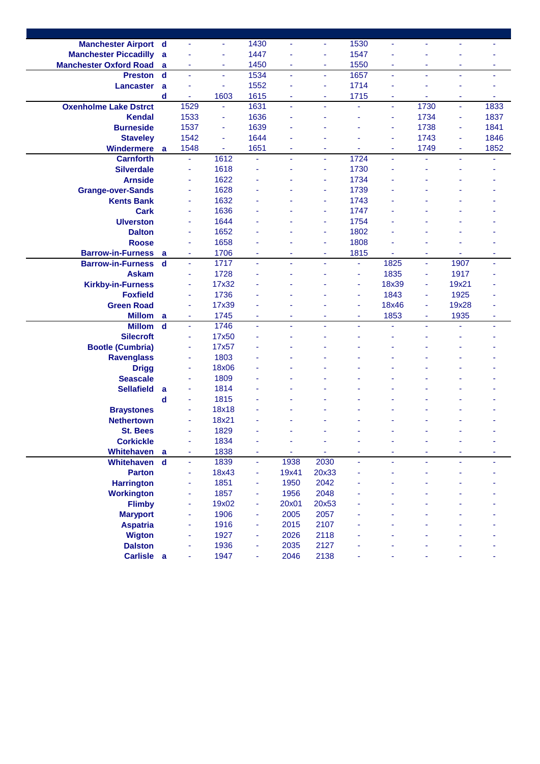| <b>Manchester Airport d</b>   |             | $\blacksquare$           | ٠     | 1430           | ä,    | ٠              | 1530 | ٠              | $\blacksquare$ | ä,             |      |
|-------------------------------|-------------|--------------------------|-------|----------------|-------|----------------|------|----------------|----------------|----------------|------|
| <b>Manchester Piccadilly</b>  | a           |                          | ٠     | 1447           | ٠     | ٠              | 1547 | ٠              |                |                |      |
| <b>Manchester Oxford Road</b> | a           | ÷                        | ٠     | 1450           | ÷     | ٠              | 1550 | ÷              | ÷              | ٠              | ٠    |
| <b>Preston</b>                | $\mathbf d$ | ÷,                       | ÷     | 1534           | ä,    | ä,             | 1657 | Ξ              | ÷              | $\blacksquare$ | ÷    |
| <b>Lancaster</b>              | a           | ٠                        | ÷     | 1552           | ä,    | ÷              | 1714 | ä,             |                |                | ٠    |
|                               | d           | ä,                       | 1603  | 1615           | ä,    | ÷              | 1715 | ÷              |                | ÷              | ÷    |
| <b>Oxenholme Lake Dstrct</b>  |             | 1529                     | ÷     | 1631           | ÷.    | ٠              | ä,   | Ξ              | 1730           | $\blacksquare$ | 1833 |
| <b>Kendal</b>                 |             | 1533                     | ÷     | 1636           | ٠     | ٠              |      | ٠              | 1734           | ÷              | 1837 |
| <b>Burneside</b>              |             | 1537                     |       | 1639           |       |                |      |                | 1738           |                |      |
|                               |             |                          | ÷     |                |       |                |      | ÷              |                | ٠              | 1841 |
| <b>Staveley</b>               |             | 1542                     | ÷     | 1644           |       |                |      | ٠              | 1743           | ٠              | 1846 |
| <b>Windermere</b>             | a           | 1548                     | ٠     | 1651           | ÷     |                |      | ٠              | 1749           | ٠              | 1852 |
| <b>Carnforth</b>              |             | $\omega$                 | 1612  |                | ä,    | $\blacksquare$ | 1724 | $\blacksquare$ | ÷,             | $\bar{a}$      |      |
| <b>Silverdale</b>             |             | ÷                        | 1618  |                |       | ٠              | 1730 | Ĭ.             |                |                |      |
| <b>Arnside</b>                |             | ÷                        | 1622  |                |       |                | 1734 |                |                |                |      |
| <b>Grange-over-Sands</b>      |             | ÷                        | 1628  |                |       |                | 1739 |                |                |                |      |
| <b>Kents Bank</b>             |             | ÷                        | 1632  |                |       |                | 1743 |                |                |                |      |
| <b>Cark</b>                   |             | $\blacksquare$           | 1636  |                |       |                | 1747 |                |                |                |      |
| <b>Ulverston</b>              |             | $\blacksquare$           | 1644  |                |       | ٠              | 1754 |                |                |                |      |
| <b>Dalton</b>                 |             | ä,                       | 1652  |                |       | ÷              | 1802 |                |                |                |      |
| <b>Roose</b>                  |             | ÷                        | 1658  |                |       | ÷              | 1808 |                |                |                |      |
| <b>Barrow-in-Furness</b>      | a           | $\overline{\phantom{a}}$ | 1706  | ٠              | ۰     | ٠              | 1815 | ÷              | ٠              | ٠              | ٠    |
| <b>Barrow-in-Furness</b>      | $\mathbf d$ | $\blacksquare$           | 1717  | $\blacksquare$ | ä,    | ä,             | ä,   | 1825           | ä,             | 1907           | ä,   |
| <b>Askam</b>                  |             | ×                        | 1728  |                |       |                | ÷    | 1835           | ÷              | 1917           |      |
| <b>Kirkby-in-Furness</b>      |             | ÷                        | 17x32 |                |       |                | ÷    | 18x39          | ÷              | 19x21          |      |
| <b>Foxfield</b>               |             | ä,                       | 1736  |                |       |                | ÷    | 1843           | $\blacksquare$ | 1925           |      |
| <b>Green Road</b>             |             |                          | 17x39 |                |       |                |      | 18x46          | ×,             | 19x28          |      |
| <b>Millom</b>                 | a           | ٠                        | 1745  | ۰              | ۰     | ٠              | ٠    | 1853           | ٠              | 1935           | ۰    |
| <b>Millom</b>                 | $\mathbf d$ | ä,                       | 1746  | $\omega$       |       | ä,             |      | ä,             | ä,             |                | ä,   |
| <b>Silecroft</b>              |             | ä,                       | 17x50 |                |       |                |      |                |                |                |      |
| <b>Bootle (Cumbria)</b>       |             | $\blacksquare$           | 17x57 |                |       |                |      |                |                |                |      |
| <b>Ravenglass</b>             |             | $\blacksquare$           | 1803  |                |       |                |      |                |                |                |      |
| <b>Drigg</b>                  |             | ä,                       | 18x06 |                |       |                |      |                |                |                |      |
| <b>Seascale</b>               |             | ÷                        | 1809  |                |       |                |      |                |                |                |      |
| <b>Sellafield</b>             | a           | ÷                        | 1814  |                |       |                |      |                |                |                |      |
|                               | d           | ä,                       | 1815  |                |       |                |      |                |                |                |      |
| <b>Braystones</b>             |             | ÷                        | 18x18 |                |       |                |      |                |                |                |      |
| <b>Nethertown</b>             |             | ÷                        | 18x21 |                |       |                |      |                |                |                |      |
| <b>St. Bees</b>               |             |                          | 1829  |                |       |                |      |                |                |                |      |
| <b>Corkickle</b>              |             |                          | 1834  |                |       |                |      |                |                |                |      |
| Whitehaven                    | - a         | ٠                        | 1838  | ٠              | Ξ     | ä,             |      |                |                |                |      |
| Whitehaven                    | $\mathbf d$ | ä,                       | 1839  | ÷.             | 1938  | 2030           | ä,   |                |                |                |      |
| <b>Parton</b>                 |             | $\overline{\phantom{a}}$ | 18x43 | ٠              | 19x41 | 20x33          |      |                |                |                |      |
| <b>Harrington</b>             |             | $\overline{\phantom{a}}$ | 1851  | $\blacksquare$ | 1950  | 2042           |      |                |                |                |      |
| <b>Workington</b>             |             | ä,                       | 1857  | $\blacksquare$ | 1956  | 2048           |      |                |                |                |      |
| <b>Flimby</b>                 |             | ä,                       | 19x02 | ٠              | 20x01 | 20x53          |      |                |                |                |      |
| <b>Maryport</b>               |             | $\blacksquare$           | 1906  | ٠              | 2005  | 2057           |      |                |                |                |      |
| <b>Aspatria</b>               |             | ä,                       | 1916  | ٠              | 2015  | 2107           |      |                |                |                |      |
| <b>Wigton</b>                 |             | ä,                       | 1927  | ٠              | 2026  | 2118           |      |                |                |                |      |
| <b>Dalston</b>                |             |                          | 1936  | ä,             | 2035  | 2127           |      |                |                |                |      |
| Carlisle a                    |             |                          | 1947  | ä,             | 2046  | 2138           |      |                |                |                |      |
|                               |             |                          |       |                |       |                |      |                |                |                |      |